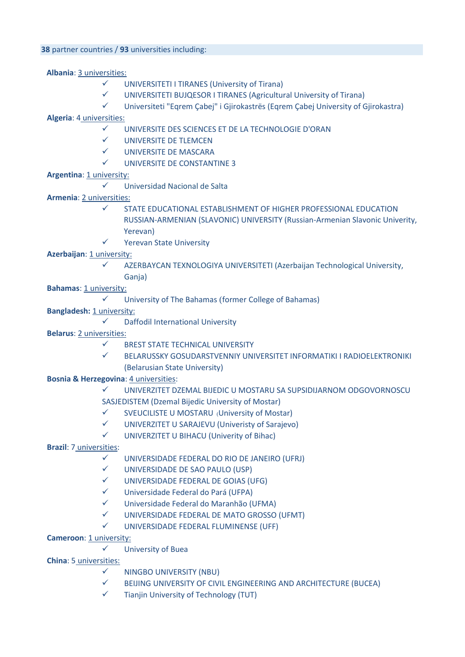#### **38** partner countries / **93** universities including:

**Albania**: 3 universities:

- $\checkmark$  UNIVERSITETI I TIRANES (University of Tirana)
- $\checkmark$  UNIVERSITETI BUJQESOR I TIRANES (Agricultural University of Tirana)
- Universiteti "Eqrem Çabej" i Gjirokastrës (Eqrem Çabej University of Gjirokastra)

**Algeria**: 4 universities:

- UNIVERSITE DES SCIENCES ET DE LA TECHNOLOGIE D'ORAN
- $\checkmark$  UNIVERSITE DE TLEMCEN
- UNIVERSITE DE MASCARA
- UNIVERSITE DE CONSTANTINE 3

#### **Argentina**: 1 university:

- Universidad Nacional de Salta
- **Armenia**: 2 universities:
	- STATE EDUCATIONAL ESTABLISHMENT OF HIGHER PROFESSIONAL EDUCATION RUSSIAN-ARMENIAN (SLAVONIC) UNIVERSITY (Russian-Armenian Slavonic Univerity, Yerevan)
	- Yerevan State University
- **Azerbaijan**: 1 university:
	- AZERBAYCAN TEXNOLOGIYA UNIVERSITETI (Azerbaijan Technological University,
		- Ganja)
- **Bahamas**: 1 university:
	- University of The Bahamas (former College of Bahamas)
- **Bangladesh:** 1 university:
	- $\checkmark$  Daffodil International University
- **Belarus**: 2 universities:
	- BREST STATE TECHNICAL UNIVERSITY
	- BELARUSSKY GOSUDARSTVENNIY UNIVERSITET INFORMATIKI I RADIOELEKTRONIKI (Belarusian State University)

## **Bosnia & Herzegovina**: 4 universities:

- UNIVERZITET DZEMAL BIJEDIC U MOSTARU SA SUPSIDIJARNOM ODGOVORNOSCU SASJEDISTEM (Dzemal Bijedic University of Mostar)
- $\checkmark$  SVEUCILISTE U MOSTARU (University of Mostar)
- UNIVERZITET U SARAJEVU (Univeristy of Sarajevo)
- UNIVERZITET U BIHACU (Univerity of Bihac)
- **Brazil**: 7 universities:
	- UNIVERSIDADE FEDERAL DO RIO DE JANEIRO (UFRJ)
	- UNIVERSIDADE DE SAO PAULO (USP)
	- UNIVERSIDADE FEDERAL DE GOIAS (UFG)
	- Universidade Federal do Pará (UFPA)
	- Universidade Federal do Maranhão (UFMA)
	- UNIVERSIDADE FEDERAL DE MATO GROSSO (UFMT)
	- UNIVERSIDADE FEDERAL FLUMINENSE (UFF)

## **Cameroon**: 1 university:

- University of Buea
- **China**: 5 universities:
	- $\checkmark$  NINGBO UNIVERSITY (NBU)
	- $\checkmark$  BEIJING UNIVERSITY OF CIVIL ENGINEERING AND ARCHITECTURE (BUCEA)
	- Tianjin University of Technology (TUT)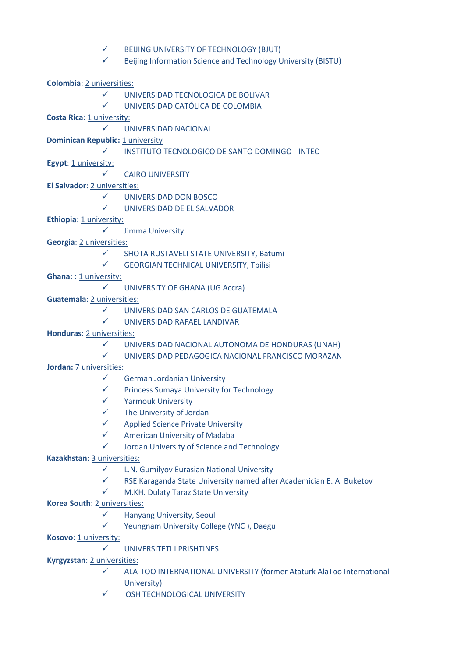$\checkmark$  BEIJING UNIVERSITY OF TECHNOLOGY (BJUT)  $\checkmark$  Beijing Information Science and Technology University (BISTU) **Colombia**: 2 universities: UNIVERSIDAD TECNOLOGICA DE BOLIVAR UNIVERSIDAD CATÓLICA DE COLOMBIA **Costa Rica**: 1 university: UNIVERSIDAD NACIONAL **Dominican Republic:** 1 university INSTITUTO TECNOLOGICO DE SANTO DOMINGO - INTEC **Egypt:** 1 university:  $\checkmark$  CAIRO UNIVERSITY **El Salvador**: 2 universities: UNIVERSIDAD DON BOSCO UNIVERSIDAD DE EL SALVADOR **Ethiopia**: 1 university:  $\checkmark$  Jimma University **Georgia**: 2 universities:  $\checkmark$  SHOTA RUSTAVELI STATE UNIVERSITY, Batumi GEORGIAN TECHNICAL UNIVERSITY, Tbilisi **Ghana: : 1 university:**  UNIVERSITY OF GHANA (UG Accra) **Guatemala**: 2 universities: UNIVERSIDAD SAN CARLOS DE GUATEMALA UNIVERSIDAD RAFAEL LANDIVAR **Honduras**: 2 universities: UNIVERSIDAD NACIONAL AUTONOMA DE HONDURAS (UNAH) UNIVERSIDAD PEDAGOGICA NACIONAL FRANCISCO MORAZAN **Jordan:** 7 universities:  $\checkmark$  German Jordanian University  $\checkmark$  Princess Sumaya University for Technology Yarmouk University  $\checkmark$  The University of Jordan  $\checkmark$  Applied Science Private University  $\checkmark$  American University of Madaba  $\checkmark$  Jordan University of Science and Technology **Kazakhstan**: 3 universities:  $\checkmark$  L.N. Gumilyov Eurasian National University  $\checkmark$  RSE Karaganda State University named after Academician E. A. Buketov  $\checkmark$  M.KH. Dulaty Taraz State University **Korea South**: 2 universities: Hanyang University, Seoul Yeungnam University College (YNC ), Daegu **Kosovo**: 1 university: UNIVERSITETI I PRISHTINES **Kyrgyzstan**: 2 universities: ALA-TOO INTERNATIONAL UNIVERSITY (former Ataturk AlaToo International University) OSH TECHNOLOGICAL UNIVERSITY